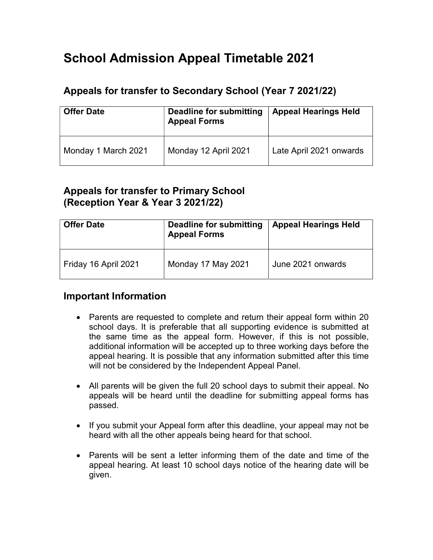# School Admission Appeal Timetable 2021

## Appeals for transfer to Secondary School (Year 7 2021/22)

| <b>Offer Date</b>   | Deadline for submitting<br><b>Appeal Forms</b> | <b>Appeal Hearings Held</b> |
|---------------------|------------------------------------------------|-----------------------------|
| Monday 1 March 2021 | Monday 12 April 2021                           | Late April 2021 onwards     |

## Appeals for transfer to Primary School (Reception Year & Year 3 2021/22)

| <b>Offer Date</b>    | <b>Deadline for submitting</b><br><b>Appeal Forms</b> | <b>Appeal Hearings Held</b> |
|----------------------|-------------------------------------------------------|-----------------------------|
| Friday 16 April 2021 | Monday 17 May 2021                                    | June 2021 onwards           |

## Important Information

- Parents are requested to complete and return their appeal form within 20 school days. It is preferable that all supporting evidence is submitted at the same time as the appeal form. However, if this is not possible, additional information will be accepted up to three working days before the appeal hearing. It is possible that any information submitted after this time will not be considered by the Independent Appeal Panel.
- All parents will be given the full 20 school days to submit their appeal. No appeals will be heard until the deadline for submitting appeal forms has passed.
- If you submit your Appeal form after this deadline, your appeal may not be heard with all the other appeals being heard for that school.
- Parents will be sent a letter informing them of the date and time of the appeal hearing. At least 10 school days notice of the hearing date will be given.